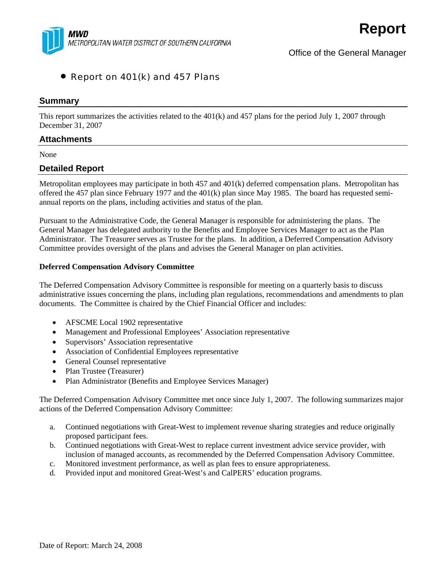

# • Report on 401(k) and 457 Plans

### **Summary**

This report summarizes the activities related to the 401(k) and 457 plans for the period July 1, 2007 through December 31, 2007

# **Attachments**

None

## **Detailed Report**

Metropolitan employees may participate in both 457 and 401(k) deferred compensation plans. Metropolitan has offered the 457 plan since February 1977 and the 401(k) plan since May 1985. The board has requested semiannual reports on the plans, including activities and status of the plan.

Pursuant to the Administrative Code, the General Manager is responsible for administering the plans. The General Manager has delegated authority to the Benefits and Employee Services Manager to act as the Plan Administrator. The Treasurer serves as Trustee for the plans. In addition, a Deferred Compensation Advisory Committee provides oversight of the plans and advises the General Manager on plan activities.

#### **Deferred Compensation Advisory Committee**

The Deferred Compensation Advisory Committee is responsible for meeting on a quarterly basis to discuss administrative issues concerning the plans, including plan regulations, recommendations and amendments to plan documents. The Committee is chaired by the Chief Financial Officer and includes:

- AFSCME Local 1902 representative
- Management and Professional Employees' Association representative
- Supervisors' Association representative
- Association of Confidential Employees representative
- General Counsel representative
- Plan Trustee (Treasurer)
- Plan Administrator (Benefits and Employee Services Manager)

The Deferred Compensation Advisory Committee met once since July 1, 2007. The following summarizes major actions of the Deferred Compensation Advisory Committee:

- a. Continued negotiations with Great-West to implement revenue sharing strategies and reduce originally proposed participant fees.
- b. Continued negotiations with Great-West to replace current investment advice service provider, with inclusion of managed accounts, as recommended by the Deferred Compensation Advisory Committee.
- c. Monitored investment performance, as well as plan fees to ensure appropriateness.
- d. Provided input and monitored Great-West's and CalPERS' education programs.